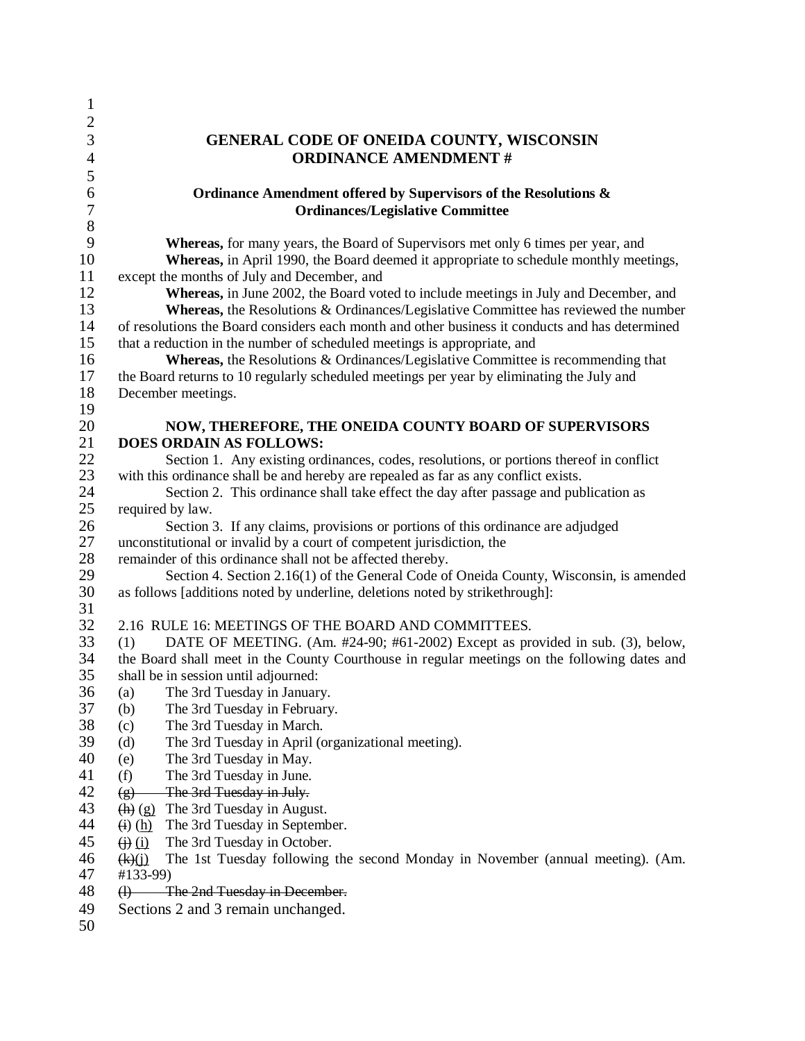| $\mathbf{1}$          |                                                                                                       |  |  |  |
|-----------------------|-------------------------------------------------------------------------------------------------------|--|--|--|
| $\overline{2}$        |                                                                                                       |  |  |  |
| $\mathfrak{Z}$        | <b>GENERAL CODE OF ONEIDA COUNTY, WISCONSIN</b>                                                       |  |  |  |
| $\overline{4}$        | <b>ORDINANCE AMENDMENT#</b>                                                                           |  |  |  |
| 5                     |                                                                                                       |  |  |  |
|                       |                                                                                                       |  |  |  |
| 6<br>$\boldsymbol{7}$ | Ordinance Amendment offered by Supervisors of the Resolutions &                                       |  |  |  |
|                       | <b>Ordinances/Legislative Committee</b>                                                               |  |  |  |
| $8\,$                 |                                                                                                       |  |  |  |
| 9                     | Whereas, for many years, the Board of Supervisors met only 6 times per year, and                      |  |  |  |
| 10                    | Whereas, in April 1990, the Board deemed it appropriate to schedule monthly meetings,                 |  |  |  |
| 11                    | except the months of July and December, and                                                           |  |  |  |
| 12                    | Whereas, in June 2002, the Board voted to include meetings in July and December, and                  |  |  |  |
| 13                    | Whereas, the Resolutions & Ordinances/Legislative Committee has reviewed the number                   |  |  |  |
| 14                    | of resolutions the Board considers each month and other business it conducts and has determined       |  |  |  |
| 15                    | that a reduction in the number of scheduled meetings is appropriate, and                              |  |  |  |
| 16                    | <b>Whereas,</b> the Resolutions & Ordinances/Legislative Committee is recommending that               |  |  |  |
| 17                    | the Board returns to 10 regularly scheduled meetings per year by eliminating the July and             |  |  |  |
| 18                    | December meetings.                                                                                    |  |  |  |
| 19                    |                                                                                                       |  |  |  |
| 20                    | NOW, THEREFORE, THE ONEIDA COUNTY BOARD OF SUPERVISORS                                                |  |  |  |
| 21                    | <b>DOES ORDAIN AS FOLLOWS:</b>                                                                        |  |  |  |
| 22                    | Section 1. Any existing ordinances, codes, resolutions, or portions thereof in conflict               |  |  |  |
| 23                    | with this ordinance shall be and hereby are repealed as far as any conflict exists.                   |  |  |  |
| 24                    | Section 2. This ordinance shall take effect the day after passage and publication as                  |  |  |  |
| 25                    | required by law.                                                                                      |  |  |  |
| 26                    | Section 3. If any claims, provisions or portions of this ordinance are adjudged                       |  |  |  |
| 27                    | unconstitutional or invalid by a court of competent jurisdiction, the                                 |  |  |  |
| 28                    | remainder of this ordinance shall not be affected thereby.                                            |  |  |  |
| 29                    | Section 4. Section 2.16(1) of the General Code of Oneida County, Wisconsin, is amended                |  |  |  |
| 30                    | as follows [additions noted by underline, deletions noted by strikethrough]:                          |  |  |  |
| 31                    |                                                                                                       |  |  |  |
| 32                    | 2.16 RULE 16: MEETINGS OF THE BOARD AND COMMITTEES.                                                   |  |  |  |
| 33                    | DATE OF MEETING. (Am. #24-90; #61-2002) Except as provided in sub. (3), below,<br>(1)                 |  |  |  |
| 34                    | the Board shall meet in the County Courthouse in regular meetings on the following dates and          |  |  |  |
| 35                    | shall be in session until adjourned:                                                                  |  |  |  |
| 36                    | The 3rd Tuesday in January.<br>(a)                                                                    |  |  |  |
| 37                    | The 3rd Tuesday in February.<br>(b)                                                                   |  |  |  |
| 38                    | The 3rd Tuesday in March.<br>(c)                                                                      |  |  |  |
| 39                    |                                                                                                       |  |  |  |
| 40                    | The 3rd Tuesday in April (organizational meeting).<br>(d)                                             |  |  |  |
|                       | The 3rd Tuesday in May.<br>(e)                                                                        |  |  |  |
| 41                    | (f)<br>The 3rd Tuesday in June.                                                                       |  |  |  |
| 42                    | The 3rd Tuesday in July.<br>$\circ$                                                                   |  |  |  |
| 43                    | The 3rd Tuesday in August.<br>(h)(g)                                                                  |  |  |  |
| 44                    | The 3rd Tuesday in September.<br>$\left(\frac{1}{2}\right)$ $\left(\frac{h}{2}\right)$                |  |  |  |
| 45                    | The 3rd Tuesday in October.<br>$\overline{y}(\underline{i})$                                          |  |  |  |
| 46                    | The 1st Tuesday following the second Monday in November (annual meeting). (Am.<br>$\frac{f(k)(j)}{j}$ |  |  |  |
| 47                    | #133-99)                                                                                              |  |  |  |
| 48                    | (1) The 2nd Tuesday in December.                                                                      |  |  |  |
| 49                    | Sections 2 and 3 remain unchanged.                                                                    |  |  |  |
| 50                    |                                                                                                       |  |  |  |